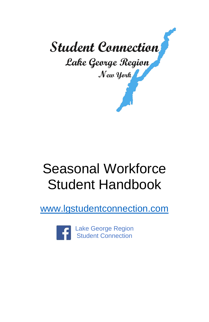

# Seasonal Workforce Student Handbook

[www.lgstudentconnection.com](http://www.lgstudentconnection.com/)

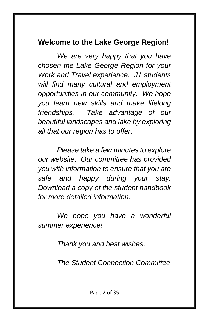### **Welcome to the Lake George Region!**

*We are very happy that you have chosen the Lake George Region for your Work and Travel experience. J1 students will find many cultural and employment opportunities in our community. We hope you learn new skills and make lifelong friendships. Take advantage of our beautiful landscapes and lake by exploring all that our region has to offer.*

*Please take a few minutes to explore our website. Our committee has provided you with information to ensure that you are safe and happy during your stay. Download a copy of the student handbook for more detailed information.*

*We hope you have a wonderful summer experience!* 

*Thank you and best wishes,*

*The Student Connection Committee*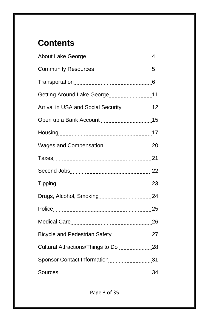# **Contents**

| Getting Around Lake George [11, 2016] 11 |  |
|------------------------------------------|--|
|                                          |  |
|                                          |  |
|                                          |  |
|                                          |  |
|                                          |  |
|                                          |  |
|                                          |  |
|                                          |  |
| Police 25                                |  |
|                                          |  |
|                                          |  |
|                                          |  |
| Sponsor Contact Information31            |  |
|                                          |  |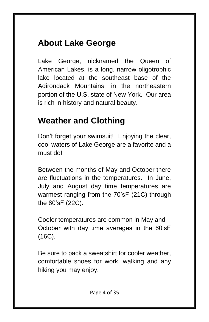# **About Lake George**

Lake George, nicknamed the Queen of American Lakes, is a long, narrow oligotrophic lake located at the southeast base of the Adirondack Mountains, in the northeastern portion of the U.S. state of New York. Our area is rich in history and natural beauty.

# **Weather and Clothing**

Don't forget your swimsuit! Enjoying the clear, cool waters of Lake George are a favorite and a must do!

Between the months of May and October there are fluctuations in the temperatures. In June, July and August day time temperatures are warmest ranging from the 70'sF (21C) through the 80'sF (22C).

Cooler temperatures are common in May and October with day time averages in the 60'sF (16C).

Be sure to pack a sweatshirt for cooler weather, comfortable shoes for work, walking and any hiking you may enjoy.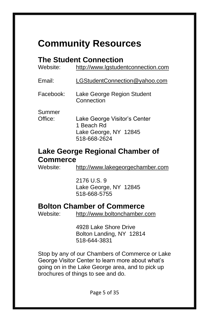# **Community Resources**

### **The Student Connection**

| Website:          | http://www.lgstudentconnection.com                                                  |
|-------------------|-------------------------------------------------------------------------------------|
| Email:            | LGStudentConnection@yahoo.com                                                       |
| Facebook:         | Lake George Region Student<br>Connection                                            |
| Summer<br>Office: | Lake George Visitor's Center<br>1 Beach Rd<br>Lake George, NY 12845<br>518-668-2624 |

#### **Lake George Regional Chamber of Commerce**

Website: [http://www.lakegeorgechamber.com](http://www.lakegeorgechamber.com/)

2176 U.S. 9 Lake George, NY 12845 518-668-5755

### **Bolton Chamber of Commerce**

Website: [http://www.boltonchamber.com](http://www.boltonchamber.com/)

4928 Lake Shore Drive Bolton Landing, NY 12814 518-644-3831

Stop by any of our Chambers of Commerce or Lake George Visitor Center to learn more about what's going on in the Lake George area, and to pick up brochures of things to see and do.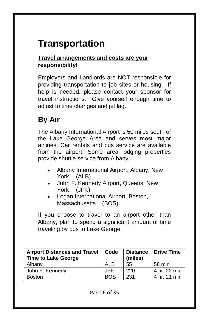# **Transportation**

#### **Travel arrangements and costs are your responsibility!**

Employers and Landlords are NOT responsible for providing transportation to job sites or housing. If help is needed, please contact your sponsor for travel instructions. Give yourself enough time to adjust to time changes and jet lag.

# **By Air**

The Albany International Airport is 50 miles south of the Lake George Area and serves most major airlines. Car rentals and bus service are available from the airport. Some area lodging properties provide shuttle service from Albany.

- Albany International Airport, Albany, New York (ALB)
- John F. Kennedy Airport, Queens, New York (JFK)
- Logan International Airport, Boston, Massachusetts (BOS)

If you choose to travel to an airport other than Albany, plan to spend a significant amount of time traveling by bus to Lake George.

| <b>Airport Distances and Travel</b><br><b>Time to Lake George</b> | Code       | (miles) | Distance   Drive Time |
|-------------------------------------------------------------------|------------|---------|-----------------------|
| Albany                                                            | <b>ALB</b> | 55      | 58 min                |
| John F. Kennedv                                                   | JFK        | 220     | 4 hr. 22 min          |
| <b>Boston</b>                                                     | <b>BOS</b> | 231     | 4 hr. 21 min          |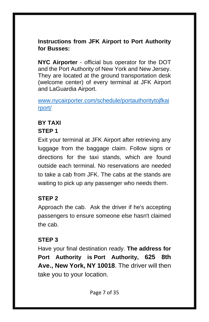#### **Instructions from JFK Airport to Port Authority for Busses:**

**NYC Airporter** - official bus operator for the DOT and the Port Authority of New York and New Jersey. They are located at the ground transportation desk (welcome center) of every terminal at JFK Airport and LaGuardia Airport.

[www.nycairporter.com/schedule/portauthoritytojfkai](http://www.nycairporter.com/schedule/portauthoritytojfkairport/) [rport/](http://www.nycairporter.com/schedule/portauthoritytojfkairport/)

# **BY TAXI**

### **STEP 1**

Exit your terminal at JFK Airport after retrieving any luggage from the baggage claim. Follow signs or directions for the taxi stands, which are found outside each terminal. No reservations are needed to take a cab from JFK. The cabs at the stands are waiting to pick up any passenger who needs them.

#### **STEP 2**

Approach the cab. Ask the driver if he's accepting passengers to ensure someone else hasn't claimed the cab.

#### **STEP 3**

Have your final destination ready. **The address for Port Authority is Port Authority, 625 8th Ave., New York, NY 10018**. The driver will then take you to your location.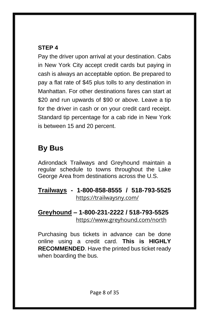#### **STEP 4**

Pay the driver upon arrival at your destination. Cabs in New York City accept credit cards but paying in cash is always an acceptable option. Be prepared to pay a flat rate of \$45 plus tolls to any destination in Manhattan. For other destinations fares can start at \$20 and run upwards of \$90 or above. Leave a tip for the driver in cash or on your credit card receipt. Standard tip percentage for a cab ride in New York is between 15 and 20 percent.

# **By Bus**

Adirondack Trailways and Greyhound maintain a regular schedule to towns throughout the Lake George Area from destinations across the U.S.

**Trailways - 1-800-858-8555 / 518-793-5525** <https://trailwaysny.com/>

#### **Greyhound – 1-800-231-2222 / 518-793-5525** <https://www.greyhound.com/north>

Purchasing bus tickets in advance can be done online using a credit card. **This is HIGHLY RECOMMENDED**. Have the printed bus ticket ready when boarding the bus.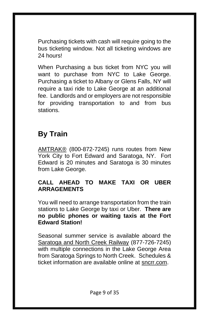Purchasing tickets with cash will require going to the bus ticketing window. Not all ticketing windows are 24 hours!

When Purchasing a bus ticket from NYC you will want to purchase from NYC to Lake George. Purchasing a ticket to Albany or Glens Falls, NY will require a taxi ride to Lake George at an additional fee. Landlords and or employers are not responsible for providing transportation to and from bus stations.

# **By Train**

[AMTRAK®](http://www.amtrak.com/) (800-872-7245) runs routes from New York City to Fort Edward and Saratoga, NY. Fort Edward is 20 minutes and Saratoga is 30 minutes from Lake George.

#### **CALL AHEAD TO MAKE TAXI OR UBER ARRAGEMENTS**

You will need to arrange transportation from the train stations to Lake George by taxi or Uber. **There are no public phones or waiting taxis at the Fort Edward Station!**

Seasonal summer service is available aboard the [Saratoga and North Creek Railway](https://www.sncrr.com/) (877-726-7245) with multiple connections in the Lake George Area from Saratoga Springs to North Creek. Schedules & ticket information are available online at [sncrr.com.](https://www.sncrr.com/)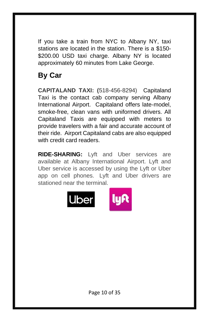If you take a train from NYC to Albany NY, taxi stations are located in the station. There is a \$150- \$200.00 USD taxi charge. Albany NY is located approximately 60 minutes from Lake George.

# **By Car**

**CAPITALAND TAXI: (**518-456-8294)Capitaland Taxi is the contact cab company serving Albany International Airport. Capitaland offers late-model, smoke-free, clean vans with uniformed drivers. All Capitaland Taxis are equipped with meters to provide travelers with a fair and accurate account of their ride. Airport Capitaland cabs are also equipped with credit card readers.

**RIDE-SHARING:** Lyft and Uber services are available at Albany International Airport. Lyft and Uber service is accessed by using the Lyft or Uber app on cell phones. Lyft and Uber drivers are stationed near the terminal.

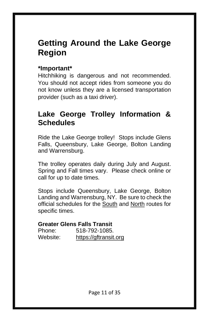# **Getting Around the Lake George Region**

#### **\*Important\***

Hitchhiking is dangerous and not recommended. You should not accept rides from someone you do not know unless they are a licensed transportation provider (such as a taxi driver).

### **Lake George Trolley Information & Schedules**

Ride the Lake George trolley! Stops include Glens Falls, Queensbury, Lake George, Bolton Landing and Warrensburg.

The trolley operates daily during July and August. Spring and Fall times vary. Please check online or call for up to date times.

Stops include Queensbury, Lake George, Bolton Landing and Warrensburg, NY. Be sure to check the official schedules for the [South](http://www.agftc.org/m2files/Glens%20Falls%20-%20Lake%20George%20%26%20South%20RV%20Trolley%20Schedule%20(Full).pdf) and [North](http://www.agftc.org/m2files/Lake%20George%20-%20North%20Trolley%20Schedule%20(Full).pdf) routes for specific times.

#### **Greater Glens Falls Transit**

| Phone:   | 518-792-1085.         |
|----------|-----------------------|
| Website: | https://gftransit.org |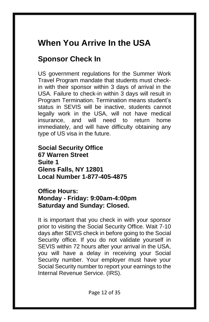# **When You Arrive In the USA**

# **Sponsor Check In**

US government regulations for the Summer Work Travel Program mandate that students must checkin with their sponsor within 3 days of arrival in the USA. Failure to check-in within 3 days will result in Program Termination. Termination means student's status in SEVIS will be inactive, students cannot legally work in the USA, will not have medical insurance, and will need to return home immediately, and will have difficulty obtaining any type of US visa in the future.

**Social Security Office 67 Warren Street Suite 1 Glens Falls, NY 12801 Local Number 1-877-405-4875**

**Office Hours: Monday - Friday: 9:00am-4:00pm Saturday and Sunday: Closed.** 

It is important that you check in with your sponsor prior to visiting the Social Security Office. Wait 7-10 days after SEVIS check in before going to the Social Security office. If you do not validate yourself in SEVIS within 72 hours after your arrival in the USA, you will have a delay in receiving your Social Security number. Your employer must have your Social Security number to report your earnings to the Internal Revenue Service. (IRS).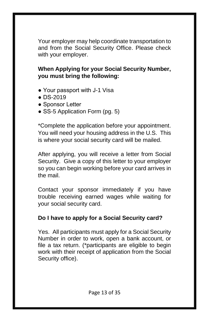Your employer may help coordinate transportation to and from the Social Security Office. Please check with your employer.

#### **When Applying for your Social Security Number, you must bring the following:**

- Your passport with J-1 Visa
- DS-2019
- Sponsor Letter
- SS-5 Application Form (pg. 5)

\*Complete the application before your appointment. You will need your housing address in the U.S. This is where your social security card will be mailed.

After applying, you will receive a letter from Social Security. Give a copy of this letter to your employer so you can begin working before your card arrives in the mail.

Contact your sponsor immediately if you have trouble receiving earned wages while waiting for your social security card.

#### **Do I have to apply for a Social Security card?**

Yes. All participants must apply for a Social Security Number in order to work, open a bank account, or file a tax return. (\*participants are eligible to begin work with their receipt of application from the Social Security office).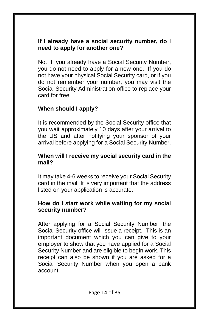#### **If I already have a social security number, do I need to apply for another one?**

No. If you already have a Social Security Number, you do not need to apply for a new one. If you do not have your physical Social Security card, or if you do not remember your number, you may visit the Social Security Administration office to replace your card for free.

#### **When should I apply?**

It is recommended by the Social Security office that you wait approximately 10 days after your arrival to the US and after notifying your sponsor of your arrival before applying for a Social Security Number.

#### **When will I receive my social security card in the mail?**

It may take 4-6 weeks to receive your Social Security card in the mail. It is very important that the address listed on your application is accurate.

#### **How do I start work while waiting for my social security number?**

After applying for a Social Security Number, the Social Security office will issue a receipt. This is an important document which you can give to your employer to show that you have applied for a Social Security Number and are eligible to begin work. This receipt can also be shown if you are asked for a Social Security Number when you open a bank account.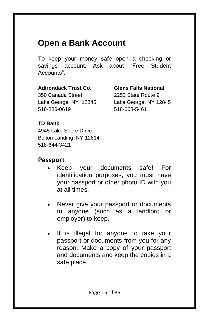# **Open a Bank Account**

To keep your money safe open a checking or savings account. Ask about "Free Student Accounts".

#### **Adirondack Trust Co. Glens Falls National**

350 Canada Street 2252 State Route 9 Lake George, NY 12845 Lake George, NY 12845 518-886-0619 518-668-5461

#### **TD Bank**

4945 Lake Shore Drive Bolton Landing, NY 12814 518-644-3421

#### **Passport**

- Keep your documents safe! For identification purposes, you must have your passport or other photo ID with you at all times.
- Never give your passport or documents to anyone (such as a landlord or employer) to keep.
- It is illegal for anyone to take your passport or documents from you for any reason. Make a copy of your passport and documents and keep the copies in a safe place.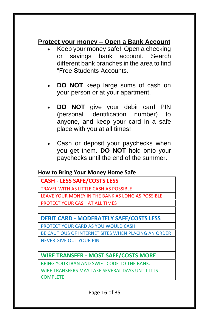### **Protect your money – Open a Bank Account**

- Keep your money safe! Open a checking or savings bank account. Search different bank branches in the area to find "Free Students Accounts.
- **DO NOT** keep large sums of cash on your person or at your apartment.
- **DO NOT** give your debit card PIN (personal identification number) to anyone, and keep your card in a safe place with you at all times!
- Cash or deposit your paychecks when you get them. **DO NOT** hold onto your paychecks until the end of the summer.

#### **How to Bring Your Money Home Safe**

| <b>CASH - LESS SAFE/COSTS LESS</b>               |  |
|--------------------------------------------------|--|
| TRAVEL WITH AS LITTLE CASH AS POSSIBLE           |  |
| LEAVE YOUR MONEY IN THE BANK AS LONG AS POSSIBLE |  |
| <b>PROTECT YOUR CASH AT ALL TIMES</b>            |  |
|                                                  |  |

**DEBIT CARD - MODERATELY SAFE/COSTS LESS**

PROTECT YOUR CARD AS YOU WOULD CASH

BE CAUTIOUS OF INTERNET SITES WHEN PLACING AN ORDER

NEVER GIVE OUT YOUR PIN

**WIRE TRANSFER - MOST SAFE/COSTS MORE**

BRING YOUR IBAN AND SWIFT CODE TO THE BANK.

WIRE TRANSFERS MAY TAKE SEVERAL DAYS UNTIL IT IS COMPLETE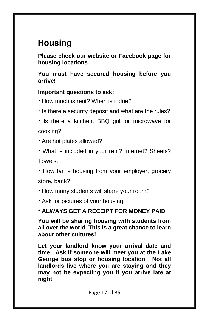# **Housing**

**Please check our website or Facebook page for housing locations.**

**You must have secured housing before you arrive!** 

#### **Important questions to ask:**

- \* How much is rent? When is it due?
- \* Is there a security deposit and what are the rules?
- \* Is there a kitchen, BBQ grill or microwave for cooking?
- \* Are hot plates allowed?
- \* What is included in your rent? Internet? Sheets? Towels?

\* How far is housing from your employer, grocery store, bank?

- \* How many students will share your room?
- \* Ask for pictures of your housing.

#### **\* ALWAYS GET A RECEIPT FOR MONEY PAID**

**You will be sharing housing with students from all over the world. This is a great chance to learn about other cultures!** 

**Let your landlord know your arrival date and time. Ask if someone will meet you at the Lake George bus stop or housing location. Not all landlords live where you are staying and they may not be expecting you if you arrive late at night.**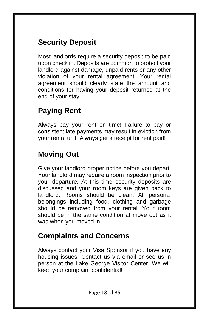# **Security Deposit**

Most landlords require a security deposit to be paid upon check in. Deposits are common to protect your landlord against damage, unpaid rents or any other violation of your rental agreement. Your rental agreement should clearly state the amount and conditions for having your deposit returned at the end of your stay.

# **Paying Rent**

Always pay your rent on time! Failure to pay or consistent late payments may result in eviction from your rental unit. Always get a receipt for rent paid!

# **Moving Out**

Give your landlord proper notice before you depart. Your landlord may require a room inspection prior to your departure. At this time security deposits are discussed and your room keys are given back to landlord. Rooms should be clean. All personal belongings including food, clothing and garbage should be removed from your rental. Your room should be in the same condition at move out as it was when you moved in.

# **Complaints and Concerns**

Always contact your Visa Sponsor if you have any housing issues. Contact us via email or see us in person at the Lake George Visitor Center. We will keep your complaint confidential!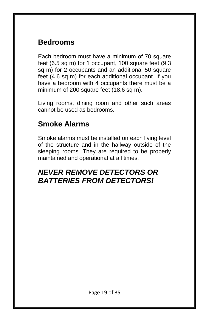### **Bedrooms**

Each bedroom must have a minimum of 70 square feet (6.5 sq m) for 1 occupant, 100 square feet (9.3 sq m) for 2 occupants and an additional 50 square feet (4.6 sq m) for each additional occupant. If you have a bedroom with 4 occupants there must be a minimum of 200 square feet (18.6 sq m).

Living rooms, dining room and other such areas cannot be used as bedrooms.

### **Smoke Alarms**

Smoke alarms must be installed on each living level of the structure and in the hallway outside of the sleeping rooms. They are required to be properly maintained and operational at all times.

### *NEVER REMOVE DETECTORS OR BATTERIES FROM DETECTORS!*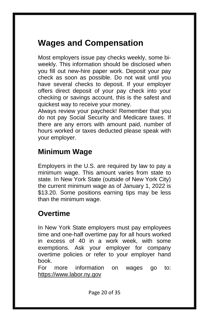# **Wages and Compensation**

Most employers issue pay checks weekly, some biweekly. This information should be disclosed when you fill out new-hire paper work. Deposit your pay check as soon as possible. Do not wait until you have several checks to deposit. If your employer offers direct deposit of your pay check into your checking or savings account, this is the safest and quickest way to receive your money.

Always review your paycheck! Remember that you do not pay Social Security and Medicare taxes. If there are any errors with amount paid, number of hours worked or taxes deducted please speak with your employer.

# **Minimum Wage**

Employers in the U.S. are required by law to pay a minimum wage. This amount varies from state to state. In New York State (outside of New York City) the current minimum wage as of January 1, 2022 is \$13.20. Some positions earning tips may be less than the minimum wage.

# **Overtime**

In New York State employers must pay employees time and one-half overtime pay for all hours worked in excess of 40 in a work week, with some exemptions. Ask your employer for company overtime policies or refer to your employer hand book.

For more information on wages go to: [https://www.labor.ny.gov](https://www.labor.ny.gov/)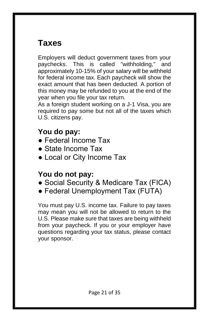# **Taxes**

Employers will deduct government taxes from your paychecks. This is called "withholding," and approximately 10-15% of your salary will be withheld for federal income tax. Each paycheck will show the exact amount that has been deducted. A portion of this money may be refunded to you at the end of the year when you file your tax return.

As a foreign student working on a J-1 Visa, you are required to pay some but not all of the taxes which U.S. citizens pay.

# **You do pay:**

- Federal Income Tax
- State Income Tax
- Local or City Income Tax

### **You do not pay:**

- Social Security & Medicare Tax (FICA)
- Federal Unemployment Tax (FUTA)

You must pay U.S. income tax. Failure to pay taxes may mean you will not be allowed to return to the U.S. Please make sure that taxes are being withheld from your paycheck. If you or your employer have questions regarding your tax status, please contact your sponsor.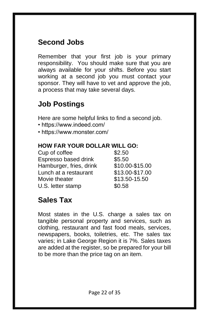# **Second Jobs**

Remember that your first job is your primary responsibility. You should make sure that you are always available for your shifts. Before you start working at a second job you must contact your sponsor. They will have to vet and approve the job, a process that may take several days.

# **Job Postings**

Here are some helpful links to find a second job.

- https://www.indeed.com/
- https://www.monster.com/

#### **HOW FAR YOUR DOLLAR WILL GO:**

| Cup of coffee           | \$2.50          |
|-------------------------|-----------------|
| Espresso based drink    | \$5.50          |
| Hamburger, fries, drink | \$10.00-\$15.00 |
| Lunch at a restaurant   | \$13.00-\$17.00 |
| Movie theater           | \$13.50-15.50   |
| U.S. letter stamp       | \$0.58          |
|                         |                 |

# **Sales Tax**

Most states in the U.S. charge a sales tax on tangible personal property and services, such as clothing, restaurant and fast food meals, services, newspapers, books, toiletries, etc. The sales tax varies; in Lake George Region it is 7%. Sales taxes are added at the register, so be prepared for your bill to be more than the price tag on an item.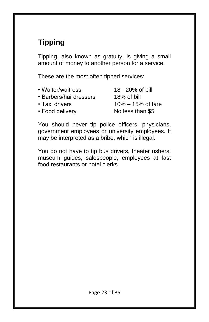# **Tipping**

Tipping, also known as gratuity, is giving a small amount of money to another person for a service.

These are the most often tipped services:

| • Waiter/waitress      | 18 - 20% of bill      |
|------------------------|-----------------------|
| • Barbers/hairdressers | 18% of bill           |
| • Taxi drivers         | $10\% - 15\%$ of fare |
| • Food delivery        | No less than \$5      |
|                        |                       |

You should never tip police officers, physicians, government employees or university employees. It may be interpreted as a bribe, which is illegal.

You do not have to tip bus drivers, theater ushers, museum guides, salespeople, employees at fast food restaurants or hotel clerks.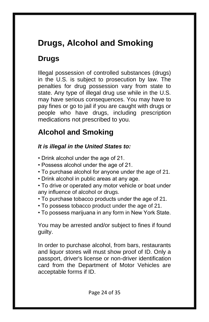# **Drugs, Alcohol and Smoking**

# **Drugs**

Illegal possession of controlled substances (drugs) in the U.S. is subject to prosecution by law. The penalties for drug possession vary from state to state. Any type of illegal drug use while in the U.S. may have serious consequences. You may have to pay fines or go to jail if you are caught with drugs or people who have drugs, including prescription medications not prescribed to you.

# **Alcohol and Smoking**

### *It is illegal in the United States to:*

- Drink alcohol under the age of 21.
- Possess alcohol under the age of 21.
- To purchase alcohol for anyone under the age of 21.
- Drink alcohol in public areas at any age.
- To drive or operated any motor vehicle or boat under any influence of alcohol or drugs.
- To purchase tobacco products under the age of 21.
- To possess tobacco product under the age of 21.
- To possess marijuana in any form in New York State.

You may be arrested and/or subject to fines if found guilty.

In order to purchase alcohol, from bars, restaurants and liquor stores will must show proof of ID. Only a passport, driver's license or non-driver identification card from the Department of Motor Vehicles are acceptable forms if ID.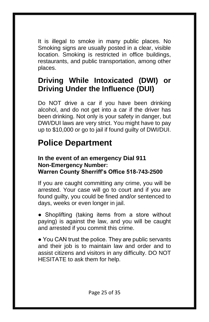It is illegal to smoke in many public places. No Smoking signs are usually posted in a clear, visible location. Smoking is restricted in office buildings, restaurants, and public transportation, among other places.

# **Driving While Intoxicated (DWI) or Driving Under the Influence (DUI)**

Do NOT drive a car if you have been drinking alcohol, and do not get into a car if the driver has been drinking. Not only is your safety in danger, but DWI/DUI laws are very strict. You might have to pay up to \$10,000 or go to jail if found guilty of DWI/DUI.

# **Police Department**

#### **In the event of an emergency Dial 911 Non-Emergency Number: Warren County Sherriff's Office 518-743-2500**

If you are caught committing any crime, you will be arrested. Your case will go to court and if you are found guilty, you could be fined and/or sentenced to days, weeks or even longer in jail.

• Shoplifting (taking items from a store without paying) is against the law, and you will be caught and arrested if you commit this crime.

• You CAN trust the police. They are public servants and their job is to maintain law and order and to assist citizens and visitors in any difficulty. DO NOT HESITATE to ask them for help.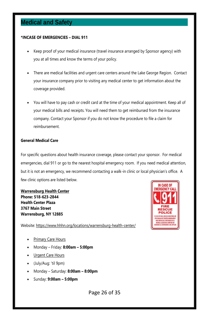### **Medical and Safety**

#### **\*INCASE OF EMERGENCIES – DIAL 911**

- Keep proof of your medical insurance (travel insurance arranged by Sponsor agency) with you at all times and know the terms of your policy.
- There are medical facilities and urgent care centers around the Lake George Region. Contact your insurance company prior to visiting any medical center to get information about the coverage provided.
- You will have to pay cash or credit card at the time of your medical appointment. Keep all of your medical bills and receipts. You will need them to get reimbursed from the insurance company. Contact your Sponsor if you do not know the procedure to file a claim for reimbursement.

#### **General Medical Care**

For specific questions about health insurance coverage, please contact your sponsor. For medical emergencies, dial 911 or go to the nearest hospital emergency room. If you need medical attention, but it is not an emergency, we recommend contacting a walk-in clinic or local physician's office. A few clinic options are listed below.

**Warrensburg Health Center Phone: 518-623-2844 Health Center Plaza 3767 Main Street Warrensburg, NY 12885**

Website: https://www.hhhn.org/locations/warrensburg-health-center/

- Primary Care Hours
- Monday Friday: **8:00am – 5:00pm**
- **Urgent Care Hours**
- (July/Aug: 'til 9pm)
- Monday Saturday: **8:00am – 8:00pm**
- Sunday: **9:00am – 5:00pm**

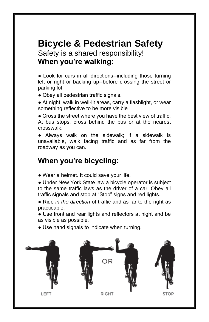# **Bicycle & Pedestrian Safety**

Safety is a shared responsibility! **When you're walking:** 

● Look for cars in all directions--including those turning left or right or backing up--before crossing the street or parking lot.

• Obey all pedestrian traffic signals.

● At night, walk in well-lit areas, carry a flashlight, or wear something reflective to be more visible

• Cross the street where you have the best view of traffic. At bus stops, cross behind the bus or at the nearest crosswalk.

● Always walk on the sidewalk; if a sidewalk is unavailable, walk facing traffic and as far from the roadway as you can.

### **When you're bicycling:**

• Wear a helmet. It could save your life.

• Under New York State law a bicycle operator is subject to the same traffic laws as the driver of a car. Obey all traffic signals and stop at "Stop" signs and red lights.

● Ride *in the direction* of traffic and as far to the right as practicable.

• Use front and rear lights and reflectors at night and be as visible as possible.

● Use hand signals to indicate when turning.

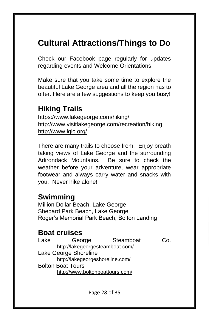# **Cultural Attractions/Things to Do**

Check our Facebook page regularly for updates regarding events and Welcome Orientations.

Make sure that you take some time to explore the beautiful Lake George area and all the region has to offer. Here are a few suggestions to keep you busy!

# **Hiking Trails**

<https://www.lakegeorge.com/hiking/> <http://www.visitlakegeorge.com/recreation/hiking> <http://www.lglc.org/>

There are many trails to choose from. Enjoy breath taking views of Lake George and the surrounding Adirondack Mountains. Be sure to check the weather before your adventure, wear appropriate footwear and always carry water and snacks with you. Never hike alone!

### **Swimming**

Million Dollar Beach, Lake George Shepard Park Beach, Lake George Roger's Memorial Park Beach, Bolton Landing

### **Boat cruises**

Lake George Steamboat Co. <http://lakegeorgesteamboat.com/> Lake George Shoreline <http://lakegeorgeshoreline.com/> Bolton Boat Tours <http://www.boltonboattours.com/>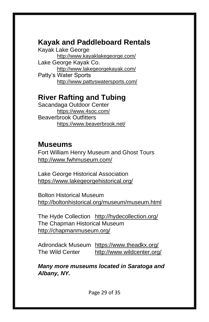# **Kayak and Paddleboard Rentals**

Kayak Lake George <http://www.kayaklakegeorge.com/> Lake George Kayak Co. <http://www.lakegeorgekayak.com/> Patty's Water Sports <http://www.pattyswatersports.com/>

### **River Rafting and Tubing**

Sacandaga Outdoor Center <https://www.4soc.com/> Beaverbrook Outfitters <https://www.beaverbrook.net/>

### **Museums**

Fort William Henry Museum and Ghost Tours <http://www.fwhmuseum.com/>

Lake George Historical Association <https://www.lakegeorgehistorical.org/>

Bolton Historical Museum <http://boltonhistorical.org/museum/museum.html>

The Hyde Collection <http://hydecollection.org/> The Chapman Historical Museum <http://chapmanmuseum.org/>

Adirondack Museum <https://www.theadkx.org/> The Wild Center <http://www.wildcenter.org/>

*Many more museums located in Saratoga and Albany, NY.*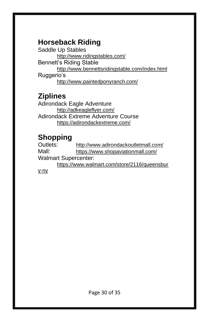# **Horseback Riding**

Saddle Up Stables <http://www.ridingstables.com/> Bennett's Riding Stable <http://www.bennettsridingstable.com/index.html> Ruggerio's <http://www.paintedponyranch.com/>

### **Ziplines**

Adirondack Eagle Adventure <http://adkeagleflyer.com/> Adirondack Extreme Adventure Course <https://adirondackextreme.com/>

# **Shopping**

Outlets: <http://www.adirondackoutletmall.com/> Mall: <https://www.shopaviationmall.com/> Walmart Supercenter: [https://www.walmart.com/store/2116/queensbur](https://www.walmart.com/store/2116/queensbury-ny) [y-ny](https://www.walmart.com/store/2116/queensbury-ny)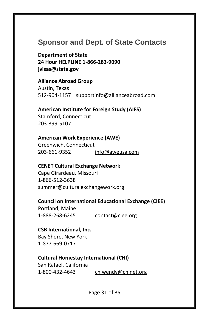### **Sponsor and Dept. of State Contacts**

**Department of State 24 Hour HELPLINE 1-866-283-9090 jvisas@state.gov**

**Alliance Abroad Group** Austin, Texas 512-904-1157 [supportinfo@allianceabroad.com](mailto:supportinfo@allianceabroad.com)

**American Institute for Foreign Study (AIFS)** Stamford, Connecticut 203-399-5107

**American Work Experience (AWE)** Greenwich, Connecticut 203-661-9352 [info@aweusa.com](mailto:info@aweusa.com)

**CENET Cultural Exchange Network** Cape Girardeau, Missouri 1-866-512-3638 summer@culturalexchangework.org

#### **Council on International Educational Exchange (CIEE)**

Portland, Maine 1-888-268-6245 [contact@ciee.org](mailto:contact@ciee.org)

#### **CSB International, Inc.**

Bay Shore, New York 1-877-669-0717

#### **Cultural Homestay International (CHI)**

San Rafael, California 1-800-432-4643 [chiwendy@chinet.org](mailto:chiwendy@chinet.org)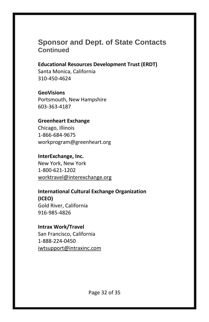### **Sponsor and Dept. of State Contacts Continued**

**Educational Resources Development Trust (ERDT)** Santa Monica, California 310-450-4624

#### **GeoVisions**

Portsmouth, New Hampshire 603-363-4187

#### **Greenheart Exchange**

Chicago, Illinois 1-866-684-9675 workprogram@greenheart.org

#### **InterExchange, Inc.**

New York, New York 1-800-621-1202 [worktravel@interexchange.org](mailto:worktravel@interexchange.org)

#### **International Cultural Exchange Organization (ICEO)** Gold River, California

916-985-4826

#### **Intrax Work/Travel** San Francisco, California

1-888-224-0450 [iwtsupport@intraxinc.com](mailto:iwtsupport@intraxinc.com)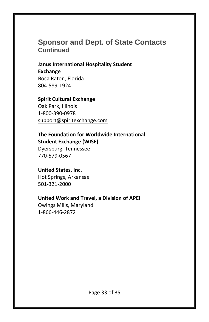### **Sponsor and Dept. of State Contacts Continued**

**Janus International Hospitality Student Exchange** Boca Raton, Florida 804-589-1924

#### **Spirit Cultural Exchange**

Oak Park, Illinois 1-800-390-0978 [support@spiritexchange.com](mailto:support@spiritexchange.com)

#### **The Foundation for Worldwide International Student Exchange (WISE)**

Dyersburg, Tennessee 770-579-0567

#### **United States, Inc.**

Hot Springs, Arkansas 501-321-2000

#### **United Work and Travel, a Division of APEI**

Owings Mills, Maryland 1-866-446-2872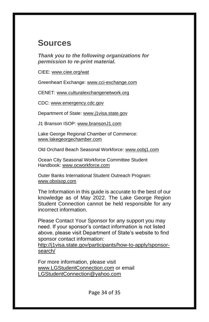# **Sources**

*Thank you to the following organizations for permission to re-print material.*

CIEE: [www.ciee.org/wat](http://www.ciee.org/wat)

Greenheart Exchange: [www.cci-exchange.com](http://www.cci-exchange.com/)

CENET: [www.culturalexchangenetwork.org](http://www.culturalexchangenetwork.org/)

CDC: [www.emergency.cdc.gov](http://www.emergency.cdc.gov/)

Department of State[: www.j1visa.state.gov](http://www.j1visa.state.gov/)

J1 Branson ISOP[: www.bransonJ1.com](http://www.bransonj1.com/)

Lake George Regional Chamber of Commerce: [www.lakegeorgechamber.com](http://www.lakegeorgechamber.com/)

Old Orchard Beach Seasonal Workforce[: www.oobj1.com](http://www.oobj1.com/)

Ocean City Seasonal Workforce Committee Student Handbook: [www.ocworkforce.com](http://www.ocworkforce.com/)

Outer Banks International Student Outreach Program: [www.obxisop.com](http://www.obxisop.com/)

The Information in this guide is accurate to the best of our knowledge as of May 2022. The Lake George Region Student Connection cannot be held responsible for any incorrect information.

Please Contact Your Sponsor for any support you may need. If your sponsor's contact information is not listed above, please visit Department of State's website to find sponsor contact information:

[http://j1visa.state.gov/participants/how-to-apply/sponsor](http://j1visa.state.gov/participants/how-to-apply/sponsor-search/)[search/](http://j1visa.state.gov/participants/how-to-apply/sponsor-search/)

For more information, please visit [www.LGStudentConnection.com](http://www.lgstudentconnection.com/) or email [LGStudentConnection@yahoo.com](mailto:LGStudentConnection@yahoo.com)